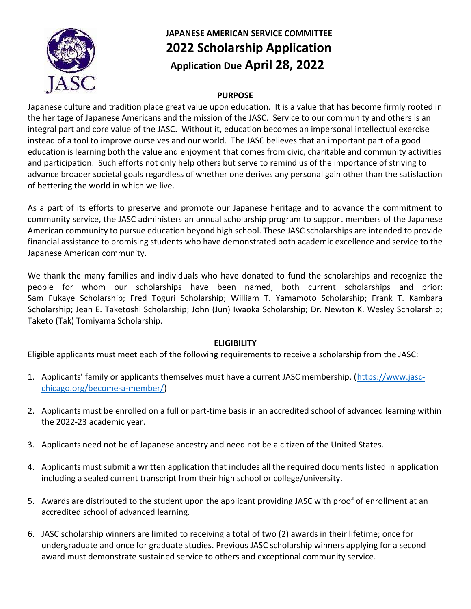

## JAPANESE AMERICAN SERVICE COMMITTEE 2022 Scholarship Application Application Due April 28, 2022

#### PURPOSE

Japanese culture and tradition place great value upon education. It is a value that has become firmly rooted in the heritage of Japanese Americans and the mission of the JASC. Service to our community and others is an integral part and core value of the JASC. Without it, education becomes an impersonal intellectual exercise instead of a tool to improve ourselves and our world. The JASC believes that an important part of a good education is learning both the value and enjoyment that comes from civic, charitable and community activities and participation. Such efforts not only help others but serve to remind us of the importance of striving to advance broader societal goals regardless of whether one derives any personal gain other than the satisfaction of bettering the world in which we live.

As a part of its efforts to preserve and promote our Japanese heritage and to advance the commitment to community service, the JASC administers an annual scholarship program to support members of the Japanese American community to pursue education beyond high school. These JASC scholarships are intended to provide financial assistance to promising students who have demonstrated both academic excellence and service to the Japanese American community.

We thank the many families and individuals who have donated to fund the scholarships and recognize the people for whom our scholarships have been named, both current scholarships and prior: Sam Fukaye Scholarship; Fred Toguri Scholarship; William T. Yamamoto Scholarship; Frank T. Kambara Scholarship; Jean E. Taketoshi Scholarship; John (Jun) Iwaoka Scholarship; Dr. Newton K. Wesley Scholarship; Taketo (Tak) Tomiyama Scholarship.

#### **ELIGIBILITY**

Eligible applicants must meet each of the following requirements to receive a scholarship from the JASC:

- 1. Applicants' family or applicants themselves must have a current JASC membership. (https://www.jascchicago.org/become-a-member/)
- 2. Applicants must be enrolled on a full or part-time basis in an accredited school of advanced learning within the 2022-23 academic year.
- 3. Applicants need not be of Japanese ancestry and need not be a citizen of the United States.
- 4. Applicants must submit a written application that includes all the required documents listed in application including a sealed current transcript from their high school or college/university.
- 5. Awards are distributed to the student upon the applicant providing JASC with proof of enrollment at an accredited school of advanced learning.
- 6. JASC scholarship winners are limited to receiving a total of two (2) awards in their lifetime; once for undergraduate and once for graduate studies. Previous JASC scholarship winners applying for a second award must demonstrate sustained service to others and exceptional community service.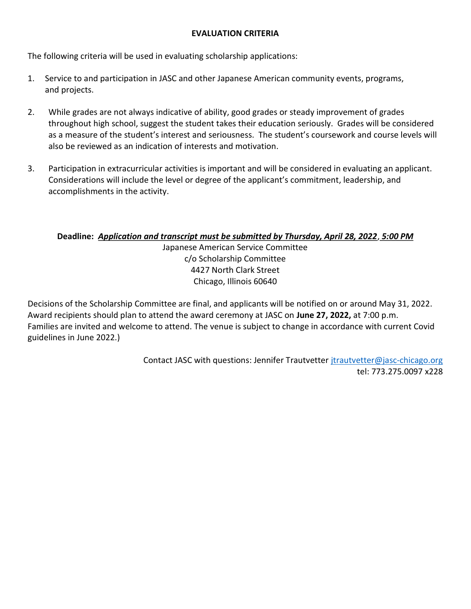#### EVALUATION CRITERIA

The following criteria will be used in evaluating scholarship applications:

- 1. Service to and participation in JASC and other Japanese American community events, programs, and projects.
- 2. While grades are not always indicative of ability, good grades or steady improvement of grades throughout high school, suggest the student takes their education seriously. Grades will be considered as a measure of the student's interest and seriousness. The student's coursework and course levels will also be reviewed as an indication of interests and motivation.
- 3. Participation in extracurricular activities is important and will be considered in evaluating an applicant. Considerations will include the level or degree of the applicant's commitment, leadership, and accomplishments in the activity.

## Deadline: Application and transcript must be submitted by Thursday, April 28, 2022, 5:00 PM

Japanese American Service Committee c/o Scholarship Committee 4427 North Clark Street Chicago, Illinois 60640

Decisions of the Scholarship Committee are final, and applicants will be notified on or around May 31, 2022. Award recipients should plan to attend the award ceremony at JASC on June 27, 2022, at 7:00 p.m. Families are invited and welcome to attend. The venue is subject to change in accordance with current Covid guidelines in June 2022.)

> Contact JASC with questions: Jennifer Trautvetter jtrautvetter@jasc-chicago.org tel: 773.275.0097 x228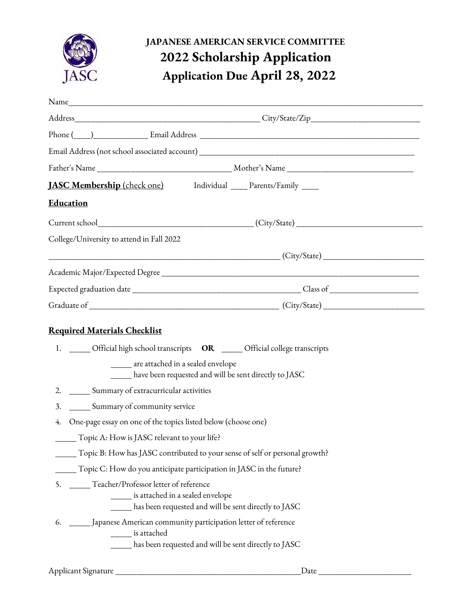

# JAPANESE AMERICAN SERVICE COMMITTEE 2022 Scholarship Application Application Due April 28, 2022

|                                                                                                                                                                                                                                                   | JASC Membership (check one) Thdividual ____ Parents/Family ____                                                                                                                                                                                                                                                                                                                                                                                                                                       |
|---------------------------------------------------------------------------------------------------------------------------------------------------------------------------------------------------------------------------------------------------|-------------------------------------------------------------------------------------------------------------------------------------------------------------------------------------------------------------------------------------------------------------------------------------------------------------------------------------------------------------------------------------------------------------------------------------------------------------------------------------------------------|
| <b>Education</b>                                                                                                                                                                                                                                  |                                                                                                                                                                                                                                                                                                                                                                                                                                                                                                       |
|                                                                                                                                                                                                                                                   |                                                                                                                                                                                                                                                                                                                                                                                                                                                                                                       |
| College/University to attend in Fall 2022                                                                                                                                                                                                         |                                                                                                                                                                                                                                                                                                                                                                                                                                                                                                       |
|                                                                                                                                                                                                                                                   |                                                                                                                                                                                                                                                                                                                                                                                                                                                                                                       |
|                                                                                                                                                                                                                                                   |                                                                                                                                                                                                                                                                                                                                                                                                                                                                                                       |
|                                                                                                                                                                                                                                                   |                                                                                                                                                                                                                                                                                                                                                                                                                                                                                                       |
|                                                                                                                                                                                                                                                   |                                                                                                                                                                                                                                                                                                                                                                                                                                                                                                       |
| <b>Required Materials Checklist</b><br>______ Summary of extracurricular activities<br>2.<br>______ Summary of community service<br>3.<br>4.<br>Topic A: How is JASC relevant to your life?<br>______ Teacher/Professor letter of reference<br>5. | 1. _____ Official high school transcripts OR _____ Official college transcripts<br>are attached in a sealed envelope<br>have been requested and will be sent directly to JASC<br>One-page essay on one of the topics listed below (choose one)<br>Topic B: How has JASC contributed to your sense of self or personal growth?<br>Topic C: How do you anticipate participation in JASC in the future?<br>____ is attached in a sealed envelope<br>has been requested and will be sent directly to JASC |
| 6.<br>is attached                                                                                                                                                                                                                                 | Japanese American community participation letter of reference<br>has been requested and will be sent directly to JASC                                                                                                                                                                                                                                                                                                                                                                                 |